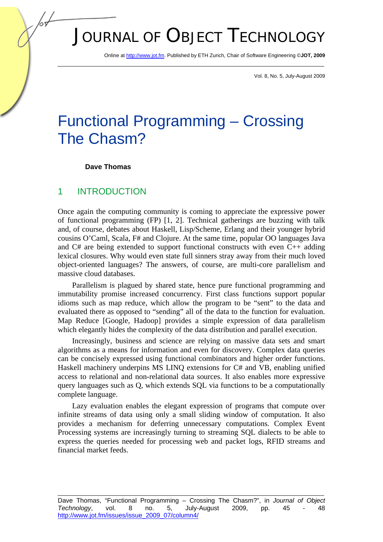# JOURNAL OF OBJECT TECHNOLOGY

Online at http://www.jot.fm. Published by ETH Zurich, Chair of Software Engineering ©**JOT, 2009** 

Vol. 8, No. 5, July-August 2009

## Functional Programming – Crossing The Chasm?

#### **Dave Thomas**

#### 1 INTRODUCTION

Once again the computing community is coming to appreciate the expressive power of functional programming (FP) [1, 2]. Technical gatherings are buzzing with talk and, of course, debates about Haskell, Lisp/Scheme, Erlang and their younger hybrid cousins O'Caml, Scala, F# and Clojure. At the same time, popular OO languages Java and C# are being extended to support functional constructs with even C++ adding lexical closures. Why would even state full sinners stray away from their much loved object-oriented languages? The answers, of course, are multi-core parallelism and massive cloud databases.

Parallelism is plagued by shared state, hence pure functional programming and immutability promise increased concurrency. First class functions support popular idioms such as map reduce, which allow the program to be "sent" to the data and evaluated there as opposed to "sending" all of the data to the function for evaluation. Map Reduce [Google, Hadoop] provides a simple expression of data parallelism which elegantly hides the complexity of the data distribution and parallel execution.

Increasingly, business and science are relying on massive data sets and smart algorithms as a means for information and even for discovery. Complex data queries can be concisely expressed using functional combinators and higher order functions. Haskell machinery underpins MS LINQ extensions for C# and VB, enabling unified access to relational and non-relational data sources. It also enables more expressive query languages such as Q, which extends SQL via functions to be a computationally complete language.

Lazy evaluation enables the elegant expression of programs that compute over infinite streams of data using only a small sliding window of computation. It also provides a mechanism for deferring unnecessary computations. Complex Event Processing systems are increasingly turning to streaming SQL dialects to be able to express the queries needed for processing web and packet logs, RFID streams and financial market feeds.

Dave Thomas, "Functional Programming – Crossing The Chasm?", in *Journal of Object Technology*, vol. 8 no. 5, July-August 2009, pp. 45 - 48 http://www.jot.fm/issues/issue\_2009\_07/column4/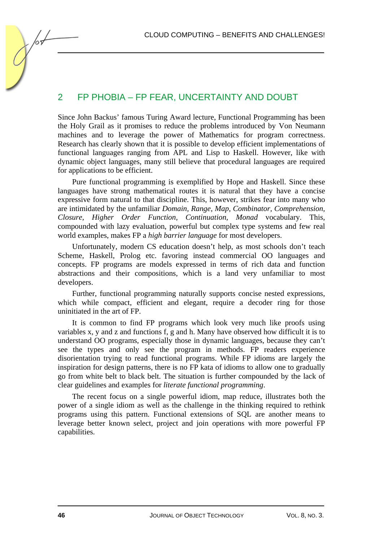CLOUD COMPUTING – BENEFITS AND CHALLENGES!

### 2 FP PHOBIA – FP FEAR, UNCERTAINTY AND DOUBT

Since John Backus' famous Turing Award lecture, Functional Programming has been the Holy Grail as it promises to reduce the problems introduced by Von Neumann machines and to leverage the power of Mathematics for program correctness. Research has clearly shown that it is possible to develop efficient implementations of functional languages ranging from APL and Lisp to Haskell. However, like with dynamic object languages, many still believe that procedural languages are required for applications to be efficient.

Pure functional programming is exemplified by Hope and Haskell. Since these languages have strong mathematical routes it is natural that they have a concise expressive form natural to that discipline. This, however, strikes fear into many who are intimidated by the unfamiliar *Domain, Range, Map, Combinator, Comprehension, Closure, Higher Order Function, Continuation, Monad* vocabulary. This, compounded with lazy evaluation, powerful but complex type systems and few real world examples, makes FP a *high barrier language* for most developers.

Unfortunately, modern CS education doesn't help, as most schools don't teach Scheme, Haskell, Prolog etc. favoring instead commercial OO languages and concepts. FP programs are models expressed in terms of rich data and function abstractions and their compositions, which is a land very unfamiliar to most developers.

Further, functional programming naturally supports concise nested expressions, which while compact, efficient and elegant, require a decoder ring for those uninitiated in the art of FP.

It is common to find FP programs which look very much like proofs using variables x, y and z and functions f, g and h. Many have observed how difficult it is to understand OO programs, especially those in dynamic languages, because they can't see the types and only see the program in methods. FP readers experience disorientation trying to read functional programs. While FP idioms are largely the inspiration for design patterns, there is no FP kata of idioms to allow one to gradually go from white belt to black belt. The situation is further compounded by the lack of clear guidelines and examples for *literate functional programming*.

The recent focus on a single powerful idiom, map reduce, illustrates both the power of a single idiom as well as the challenge in the thinking required to rethink programs using this pattern. Functional extensions of SQL are another means to leverage better known select, project and join operations with more powerful FP capabilities.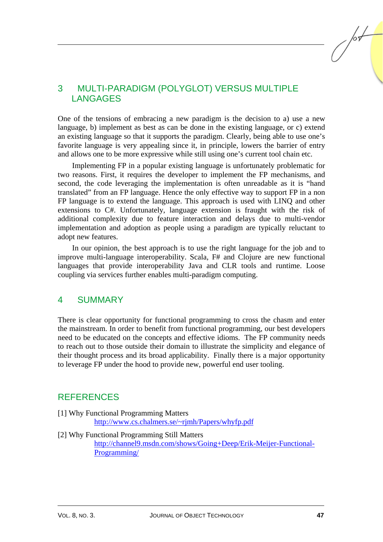## 3 MULTI-PARADIGM (POLYGLOT) VERSUS MULTIPLE LANGAGES

One of the tensions of embracing a new paradigm is the decision to a) use a new language, b) implement as best as can be done in the existing language, or c) extend an existing language so that it supports the paradigm. Clearly, being able to use one's favorite language is very appealing since it, in principle, lowers the barrier of entry and allows one to be more expressive while still using one's current tool chain etc.

Implementing FP in a popular existing language is unfortunately problematic for two reasons. First, it requires the developer to implement the FP mechanisms, and second, the code leveraging the implementation is often unreadable as it is "hand translated" from an FP language. Hence the only effective way to support FP in a non FP language is to extend the language. This approach is used with LINQ and other extensions to C#. Unfortunately, language extension is fraught with the risk of additional complexity due to feature interaction and delays due to multi-vendor implementation and adoption as people using a paradigm are typically reluctant to adopt new features.

In our opinion, the best approach is to use the right language for the job and to improve multi-language interoperability. Scala, F# and Clojure are new functional languages that provide interoperability Java and CLR tools and runtime. Loose coupling via services further enables multi-paradigm computing.

#### 4 SUMMARY

There is clear opportunity for functional programming to cross the chasm and enter the mainstream. In order to benefit from functional programming, our best developers need to be educated on the concepts and effective idioms. The FP community needs to reach out to those outside their domain to illustrate the simplicity and elegance of their thought process and its broad applicability. Finally there is a major opportunity to leverage FP under the hood to provide new, powerful end user tooling.

#### **REFERENCES**

[1] Why Functional Programming Matters

http://www.cs.chalmers.se/~rjmh/Papers/whyfp.pdf

[2] Why Functional Programming Still Matters

http://channel9.msdn.com/shows/Going+Deep/Erik-Meijer-Functional-Programming/